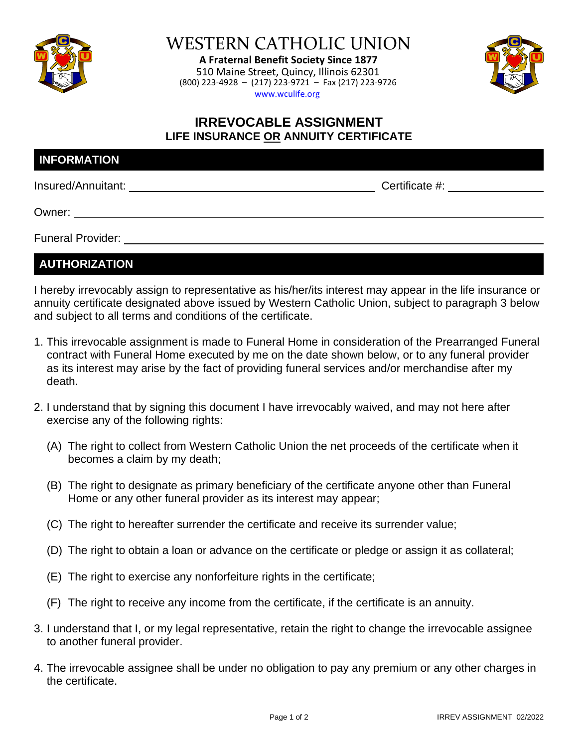

WESTERN CATHOLIC UNION

**A Fraternal Benefit Society Since 1877** 510 Maine Street, Quincy, Illinois 62301 (800) 223-4928 – (217) 223-9721 – Fax (217) 223-9726 www.wculife.org



## **IRREVOCABLE ASSIGNMENT LIFE INSURANCE OR ANNUITY CERTIFICATE**

| Certificate #: |  |
|----------------|--|
|                |  |
|                |  |

Funeral Provider:

**AUTHORIZATION**

I hereby irrevocably assign to representative as his/her/its interest may appear in the life insurance or annuity certificate designated above issued by Western Catholic Union, subject to paragraph 3 below and subject to all terms and conditions of the certificate.

- 1. This irrevocable assignment is made to Funeral Home in consideration of the Prearranged Funeral contract with Funeral Home executed by me on the date shown below, or to any funeral provider as its interest may arise by the fact of providing funeral services and/or merchandise after my death.
- 2. I understand that by signing this document I have irrevocably waived, and may not here after exercise any of the following rights:
	- (A) The right to collect from Western Catholic Union the net proceeds of the certificate when it becomes a claim by my death;
	- (B) The right to designate as primary beneficiary of the certificate anyone other than Funeral Home or any other funeral provider as its interest may appear;
	- (C) The right to hereafter surrender the certificate and receive its surrender value;
	- (D) The right to obtain a loan or advance on the certificate or pledge or assign it as collateral;
	- (E) The right to exercise any nonforfeiture rights in the certificate;
	- (F) The right to receive any income from the certificate, if the certificate is an annuity.
- 3. I understand that I, or my legal representative, retain the right to change the irrevocable assignee to another funeral provider.
- 4. The irrevocable assignee shall be under no obligation to pay any premium or any other charges in the certificate.